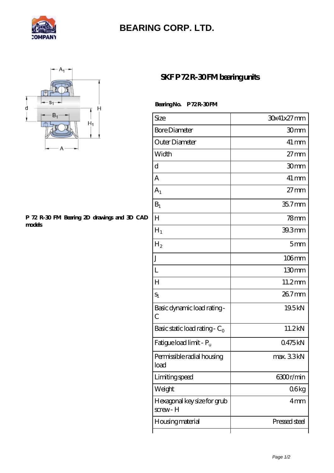

## **[BEARING CORP. LTD.](https://mamzellealacote.com)**



## **[P 72 R-30 FM Bearing 2D drawings and 3D CAD](https://mamzellealacote.com/pic-396161.html) [models](https://mamzellealacote.com/pic-396161.html)**

## **SKFP 72R-30FM beating units**

Bearing No. P 72R-30 FM

| Size                                   | 30x41x27mm         |
|----------------------------------------|--------------------|
| <b>Bore Diameter</b>                   | 30mm               |
| Outer Diameter                         | $41 \,\mathrm{mm}$ |
| Width                                  | $27 \text{mm}$     |
| d                                      | 30mm               |
| A                                      | $41 \,\mathrm{mm}$ |
| A <sub>1</sub>                         | $27 \text{mm}$     |
| $B_1$                                  | $357$ mm           |
| H                                      | 78 <sub>mm</sub>   |
| $H_1$                                  | 39.3mm             |
| H <sub>2</sub>                         | 5 <sub>mm</sub>    |
| J                                      | $106$ mm           |
| L                                      | 130 <sub>mm</sub>  |
| H                                      | 11.2mm             |
| $S_1$                                  | 267mm              |
| Basic dynamic load rating-<br>C        | 19.5kN             |
| Basic static load rating - $C_0$       | 11.2kN             |
| Fatigue load limit - P <sub>u</sub>    | 0475kN             |
| Permissible radial housing<br>load     | max. 33kN          |
| Limiting speed                         | 6300r/min          |
| Weight                                 | 06kg               |
| Hexagonal key size for grub<br>screw-H | 4 <sub>mm</sub>    |
| Housing material                       | Pressed steel      |
|                                        |                    |